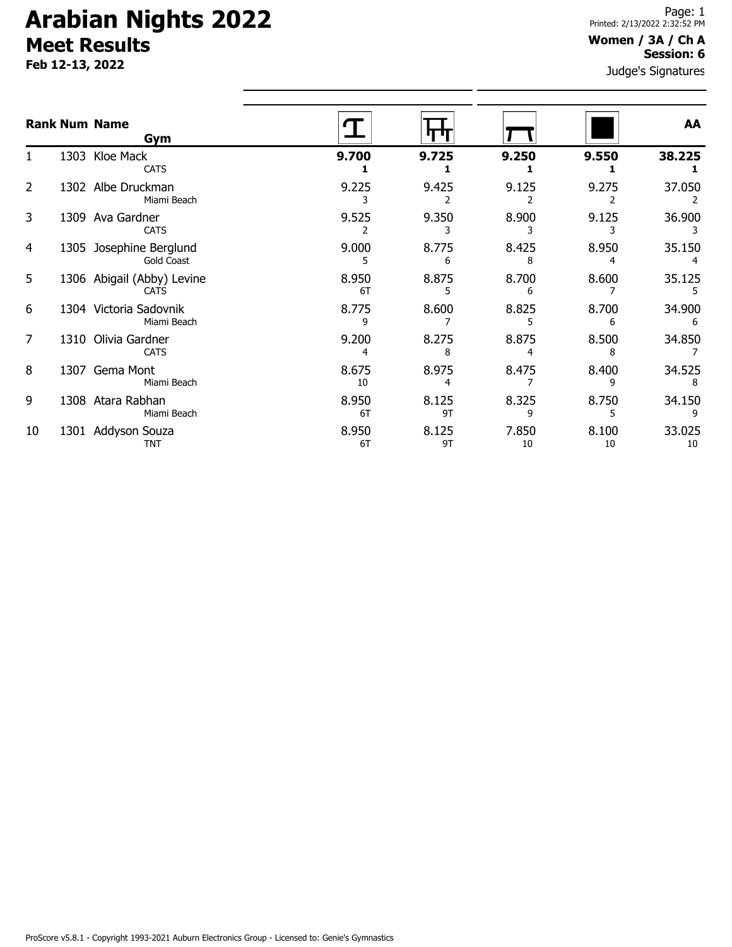**Feb 12-13, 2022**

#### **Women / 3A / Ch A Session: 6**

Judge's Signatures

|    | <b>Rank Num Name</b><br>Gym               |             |             |             |             | AA           |
|----|-------------------------------------------|-------------|-------------|-------------|-------------|--------------|
|    | 1303 Kloe Mack<br><b>CATS</b>             | 9.700       | 9.725       | 9.250       | 9.550       | 38.225       |
| 2  | 1302 Albe Druckman<br>Miami Beach         | 9.225       | 9.425       | 9.125       | 9.275       | 37.050       |
| 3  | 1309 Ava Gardner<br><b>CATS</b>           | 9.525       | 9.350       | 8.900       | 9.125       | 36.900       |
| 4  | 1305 Josephine Berglund<br>Gold Coast     | 9.000       | 8.775<br>6  | 8.425<br>8  | 8.950       | 35.150       |
| 5  | 1306 Abigail (Abby) Levine<br><b>CATS</b> | 8.950<br>6T | 8.875       | 8.700       | 8.600       | 35.125       |
| 6  | 1304 Victoria Sadovnik<br>Miami Beach     | 8.775<br>q  | 8.600       | 8.825       | 8.700       | 34.900<br>6  |
| 7  | 1310 Olivia Gardner<br><b>CATS</b>        | 9.200<br>4  | 8.275<br>8  | 8.875       | 8.500<br>8  | 34.850       |
| 8  | 1307 Gema Mont<br>Miami Beach             | 8.675<br>10 | 8.975<br>4  | 8.475       | 8.400       | 34.525       |
| 9  | 1308 Atara Rabhan<br>Miami Beach          | 8.950<br>6T | 8.125<br>9T | 8.325<br>q  | 8.750       | 34.150       |
| 10 | 1301 Addyson Souza<br><b>TNT</b>          | 8.950<br>6T | 8.125<br>9T | 7.850<br>10 | 8.100<br>10 | 33.025<br>10 |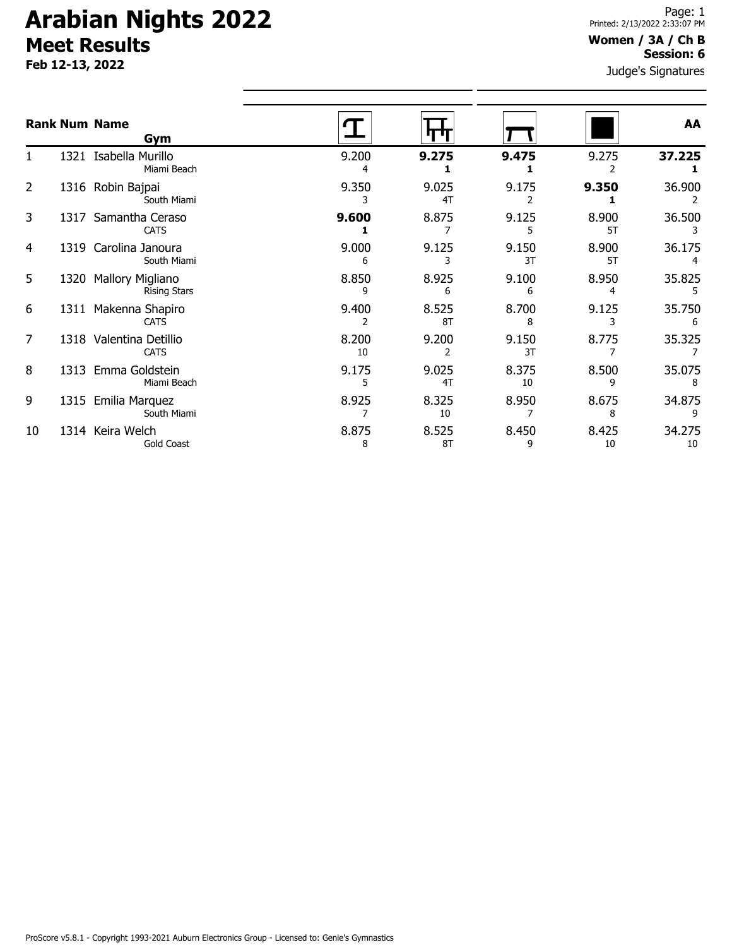**Feb 12-13, 2022**

#### **Women / 3A / Ch B Session: 6**

Judge's Signatures

|    |      | <b>Rank Num Name</b><br>Gym                    |             |             |             |             | AA           |
|----|------|------------------------------------------------|-------------|-------------|-------------|-------------|--------------|
|    |      | 1321 Isabella Murillo<br>Miami Beach           | 9.200<br>4  | 9.275       | 9.475       | 9.275       | 37.225       |
| 2  |      | 1316 Robin Bajpai<br>South Miami               | 9.350       | 9.025<br>4T | 9.175       | 9.350       | 36.900       |
| 3  |      | 1317 Samantha Ceraso<br><b>CATS</b>            | 9.600       | 8.875       | 9.125<br>5  | 8.900<br>5T | 36.500<br>3  |
| 4  | 1319 | Carolina Janoura<br>South Miami                | 9.000<br>6  | 9.125       | 9.150<br>3T | 8.900<br>5T | 36.175       |
| 5  | 1320 | <b>Mallory Migliano</b><br><b>Rising Stars</b> | 8.850<br>9  | 8.925<br>6  | 9.100<br>6  | 8.950<br>4  | 35.825       |
| 6  |      | 1311 Makenna Shapiro<br><b>CATS</b>            | 9.400<br>2  | 8.525<br>8T | 8.700<br>8  | 9.125<br>3  | 35.750<br>6  |
| 7  |      | 1318 Valentina Detillio<br><b>CATS</b>         | 8.200<br>10 | 9.200       | 9.150<br>3T | 8.775       | 35.325       |
| 8  |      | 1313 Emma Goldstein<br>Miami Beach             | 9.175<br>5  | 9.025<br>4T | 8.375<br>10 | 8.500<br>9  | 35.075<br>8  |
| 9  | 1315 | Emilia Marquez<br>South Miami                  | 8.925       | 8.325<br>10 | 8.950       | 8.675<br>8  | 34.875<br>9  |
| 10 |      | 1314 Keira Welch<br>Gold Coast                 | 8.875<br>8  | 8.525<br>8T | 8.450<br>9  | 8.425<br>10 | 34.275<br>10 |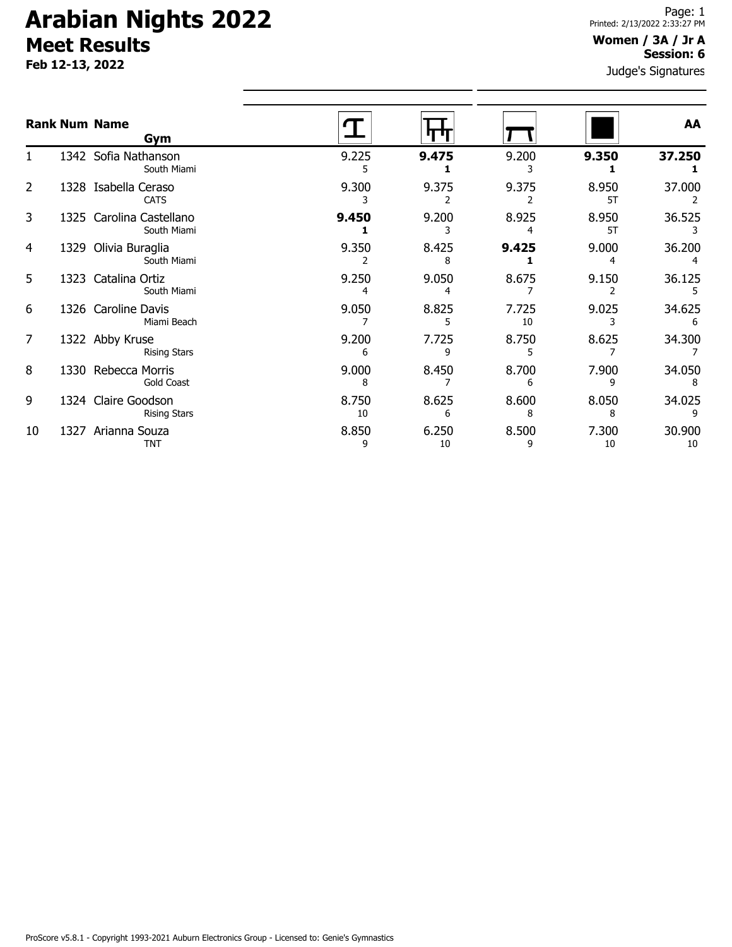**Feb 12-13, 2022**

#### **Women / 3A / Jr A Session: 6**

Judge's Signatures

|    |      | <b>Rank Num Name</b><br>Gym                |             |             |             |             | AA           |
|----|------|--------------------------------------------|-------------|-------------|-------------|-------------|--------------|
|    |      | 1342 Sofia Nathanson<br>South Miami        | 9.225       | 9.475       | 9.200       | 9.350       | 37.250       |
| 2  |      | 1328 Isabella Ceraso<br><b>CATS</b>        | 9.300       | 9.375       | 9.375       | 8.950<br>5T | 37.000       |
| 3  |      | 1325 Carolina Castellano<br>South Miami    | 9.450       | 9.200       | 8.925       | 8.950<br>5T | 36.525       |
| 4  | 1329 | Olivia Buraglia<br>South Miami             | 9.350       | 8.425<br>8  | 9.425       | 9.000       | 36.200       |
| 5  |      | 1323 Catalina Ortiz<br>South Miami         | 9.250       | 9.050       | 8.675       | 9.150       | 36.125       |
| 6  |      | 1326 Caroline Davis<br>Miami Beach         | 9.050       | 8.825       | 7.725<br>10 | 9.025       | 34.625<br>6  |
| 7  |      | 1322 Abby Kruse<br><b>Rising Stars</b>     | 9.200<br>6  | 7.725<br>٩  | 8.750<br>5  | 8.625       | 34.300       |
| 8  |      | 1330 Rebecca Morris<br><b>Gold Coast</b>   | 9.000<br>8  | 8.450       | 8.700<br>6  | 7.900<br>٩  | 34.050<br>8  |
| 9  |      | 1324 Claire Goodson<br><b>Rising Stars</b> | 8.750<br>10 | 8.625<br>6  | 8.600<br>8  | 8.050<br>8  | 34.025<br>9  |
| 10 | 1327 | Arianna Souza<br><b>TNT</b>                | 8.850<br>9  | 6.250<br>10 | 8.500<br>9  | 7.300<br>10 | 30.900<br>10 |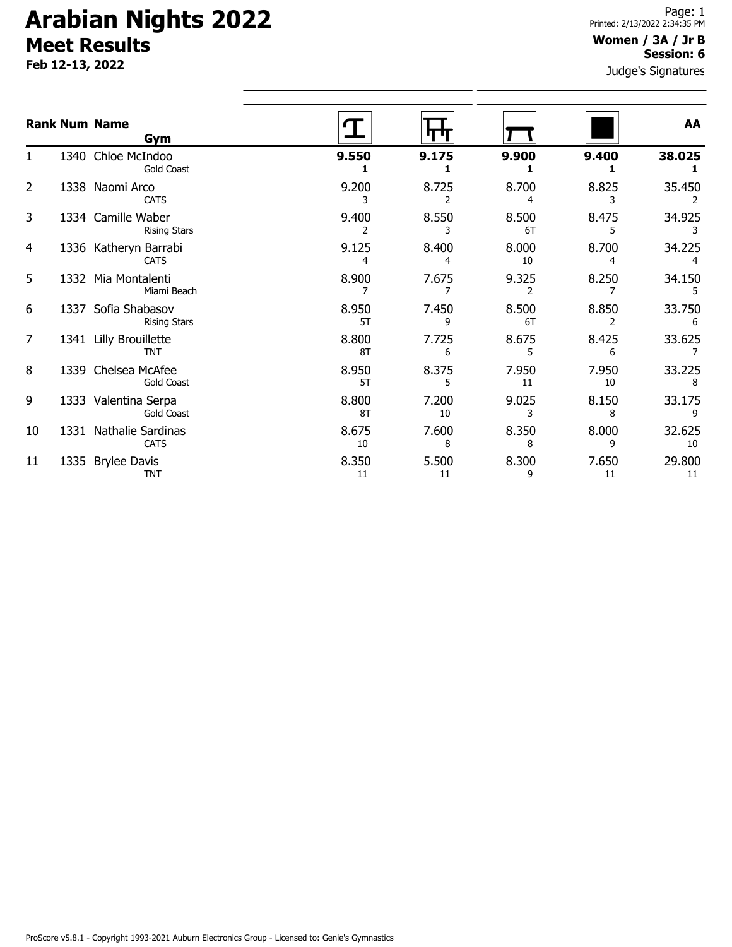**Feb 12-13, 2022**

#### Judge's Signatures **Women / 3A / Jr B Session: 6**

|    |      | <b>Rank Num Name</b><br>Gym                |             |             |             |             | AA           |
|----|------|--------------------------------------------|-------------|-------------|-------------|-------------|--------------|
| 1  |      | 1340 Chloe McIndoo<br><b>Gold Coast</b>    | 9.550<br>1  | 9.175       | 9.900       | 9.400<br>1  | 38.025       |
| 2  |      | 1338 Naomi Arco<br><b>CATS</b>             | 9.200<br>3  | 8.725<br>2  | 8.700<br>4  | 8.825<br>3  | 35.450       |
| 3  |      | 1334 Camille Waber<br><b>Rising Stars</b>  | 9.400<br>2  | 8.550<br>3  | 8.500<br>6T | 8.475<br>5  | 34.925<br>3  |
| 4  |      | 1336 Katheryn Barrabi<br><b>CATS</b>       | 9.125<br>4  | 8.400<br>4  | 8.000<br>10 | 8.700<br>4  | 34.225       |
| 5  |      | 1332 Mia Montalenti<br>Miami Beach         | 8.900<br>7  | 7.675<br>7  | 9.325<br>2  | 8.250<br>7  | 34.150<br>5  |
| 6  |      | 1337 Sofia Shabasov<br><b>Rising Stars</b> | 8.950<br>5T | 7.450<br>9  | 8.500<br>6T | 8.850<br>2  | 33.750<br>6  |
| 7  |      | 1341 Lilly Brouillette<br><b>TNT</b>       | 8.800<br>8T | 7.725<br>6  | 8.675<br>5  | 8.425<br>6  | 33.625       |
| 8  |      | 1339 Chelsea McAfee<br>Gold Coast          | 8.950<br>5T | 8.375<br>5  | 7.950<br>11 | 7.950<br>10 | 33.225<br>8  |
| 9  |      | 1333 Valentina Serpa<br><b>Gold Coast</b>  | 8.800<br>8T | 7.200<br>10 | 9.025<br>3  | 8.150<br>8  | 33.175<br>9  |
| 10 |      | 1331 Nathalie Sardinas<br><b>CATS</b>      | 8.675<br>10 | 7.600<br>8  | 8.350<br>8  | 8.000<br>9  | 32.625<br>10 |
| 11 | 1335 | <b>Brylee Davis</b><br><b>TNT</b>          | 8.350<br>11 | 5.500<br>11 | 8.300<br>9  | 7.650<br>11 | 29.800<br>11 |